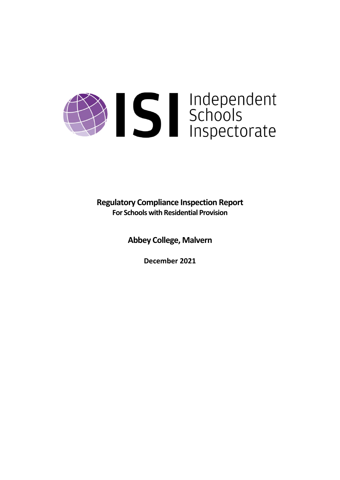# Sandependent<br>Schools<br>Inspectorate

**Regulatory Compliance Inspection Report For Schools with Residential Provision**

**Abbey College, Malvern**

**December 2021**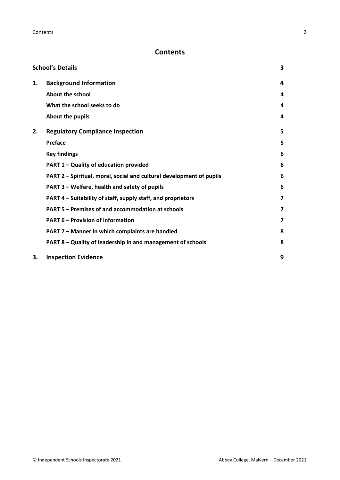# **Contents**

|    | <b>School's Details</b>                                              | 3 |
|----|----------------------------------------------------------------------|---|
| 1. | <b>Background Information</b>                                        | 4 |
|    | <b>About the school</b>                                              | 4 |
|    | What the school seeks to do                                          | 4 |
|    | About the pupils                                                     | 4 |
| 2. | <b>Regulatory Compliance Inspection</b>                              | 5 |
|    | <b>Preface</b>                                                       | 5 |
|    | <b>Key findings</b>                                                  | 6 |
|    | PART 1 - Quality of education provided                               | 6 |
|    | PART 2 - Spiritual, moral, social and cultural development of pupils | 6 |
|    | PART 3 - Welfare, health and safety of pupils                        | 6 |
|    | PART 4 - Suitability of staff, supply staff, and proprietors         | 7 |
|    | PART 5 - Premises of and accommodation at schools                    | 7 |
|    | <b>PART 6 - Provision of information</b>                             | 7 |
|    | PART 7 - Manner in which complaints are handled                      | 8 |
|    | PART 8 - Quality of leadership in and management of schools          | 8 |
| 3. | <b>Inspection Evidence</b>                                           | 9 |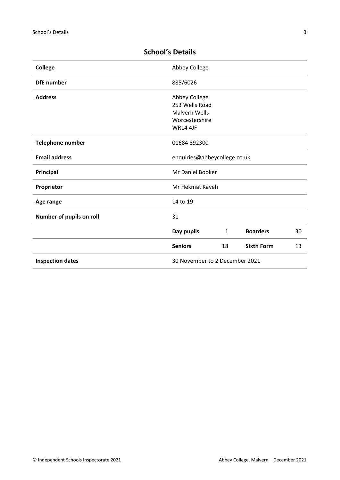| <b>College</b>           | Abbey College                  |              |                   |    |
|--------------------------|--------------------------------|--------------|-------------------|----|
| <b>DfE</b> number        | 885/6026                       |              |                   |    |
| <b>Address</b>           | Abbey College                  |              |                   |    |
|                          | 253 Wells Road                 |              |                   |    |
|                          | <b>Malvern Wells</b>           |              |                   |    |
|                          | Worcestershire                 |              |                   |    |
|                          | <b>WR14 4JF</b>                |              |                   |    |
| <b>Telephone number</b>  | 01684 892300                   |              |                   |    |
| <b>Email address</b>     | enquiries@abbeycollege.co.uk   |              |                   |    |
| Principal                | Mr Daniel Booker               |              |                   |    |
| Proprietor               | Mr Hekmat Kaveh                |              |                   |    |
| Age range                | 14 to 19                       |              |                   |    |
| Number of pupils on roll | 31                             |              |                   |    |
|                          | Day pupils                     | $\mathbf{1}$ | <b>Boarders</b>   | 30 |
|                          | <b>Seniors</b>                 | 18           | <b>Sixth Form</b> | 13 |
| <b>Inspection dates</b>  | 30 November to 2 December 2021 |              |                   |    |

# <span id="page-2-0"></span>**School's Details**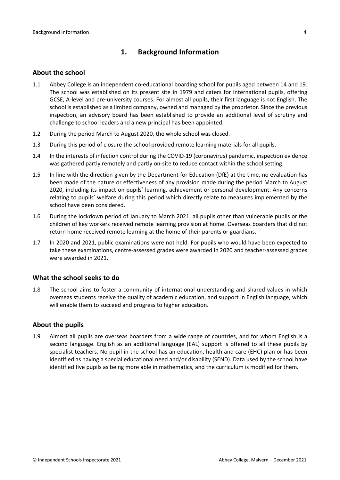# <span id="page-3-0"></span>**1. Background Information**

### <span id="page-3-1"></span>**About the school**

- 1.1 Abbey College is an independent co-educational boarding school for pupils aged between 14 and 19. The school was established on its present site in 1979 and caters for international pupils, offering GCSE, A-level and pre-university courses. For almost all pupils, their first language is not English. The school is established as a limited company, owned and managed by the proprietor. Since the previous inspection, an advisory board has been established to provide an additional level of scrutiny and challenge to school leaders and a new principal has been appointed.
- 1.2 During the period March to August 2020, the whole school was closed.
- 1.3 During this period of closure the school provided remote learning materials for all pupils.
- 1.4 In the interests of infection control during the COVID-19 (coronavirus) pandemic, inspection evidence was gathered partly remotely and partly on-site to reduce contact within the school setting.
- 1.5 In line with the direction given by the Department for Education (DfE) at the time, no evaluation has been made of the nature or effectiveness of any provision made during the period March to August 2020, including its impact on pupils' learning, achievement or personal development. Any concerns relating to pupils' welfare during this period which directly relate to measures implemented by the school have been considered.
- 1.6 During the lockdown period of January to March 2021, all pupils other than vulnerable pupils or the children of key workers received remote learning provision at home. Overseas boarders that did not return home received remote learning at the home of their parents or guardians.
- 1.7 In 2020 and 2021, public examinations were not held. For pupils who would have been expected to take these examinations, centre-assessed grades were awarded in 2020 and teacher-assessed grades were awarded in 2021.

### <span id="page-3-2"></span>**What the school seeks to do**

1.8 The school aims to foster a community of international understanding and shared values in which overseas students receive the quality of academic education, and support in English language, which will enable them to succeed and progress to higher education.

### <span id="page-3-3"></span>**About the pupils**

1.9 Almost all pupils are overseas boarders from a wide range of countries, and for whom English is a second language. English as an additional language (EAL) support is offered to all these pupils by specialist teachers. No pupil in the school has an education, health and care (EHC) plan or has been identified as having a special educational need and/or disability (SEND). Data used by the school have identified five pupils as being more able in mathematics, and the curriculum is modified for them.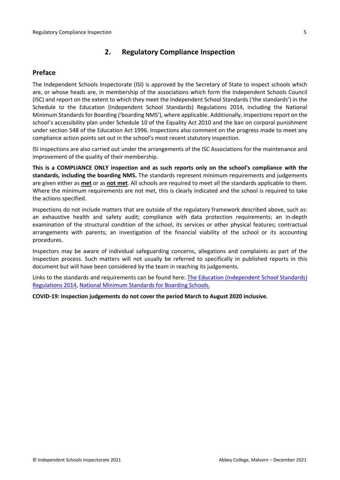# <span id="page-4-0"></span>**2. Regulatory Compliance Inspection**

### <span id="page-4-1"></span>**Preface**

The Independent Schools Inspectorate (ISI) is approved by the Secretary of State to inspect schools which are, or whose heads are, in membership of the associations which form the Independent Schools Council (ISC) and report on the extent to which they meet the Independent School Standards ('the standards') in the Schedule to the Education (Independent School Standards) Regulations 2014, including the National Minimum Standards for Boarding ('boarding NMS'), where applicable. Additionally, inspections report on the school's accessibility plan under Schedule 10 of the Equality Act 2010 and the ban on corporal punishment under section 548 of the Education Act 1996. Inspections also comment on the progress made to meet any compliance action points set out in the school's most recent statutory inspection.

ISI inspections are also carried out under the arrangements of the ISC Associations for the maintenance and improvement of the quality of their membership.

**This is a COMPLIANCE ONLY inspection and as such reports only on the school's compliance with the standards, including the boarding NMS.** The standards represent minimum requirements and judgements are given either as **met** or as **not met**. All schools are required to meet all the standards applicable to them. Where the minimum requirements are not met, this is clearly indicated and the school is required to take the actions specified.

Inspections do not include matters that are outside of the regulatory framework described above, such as: an exhaustive health and safety audit; compliance with data protection requirements; an in-depth examination of the structural condition of the school, its services or other physical features; contractual arrangements with parents; an investigation of the financial viability of the school or its accounting procedures.

Inspectors may be aware of individual safeguarding concerns, allegations and complaints as part of the inspection process. Such matters will not usually be referred to specifically in published reports in this document but will have been considered by the team in reaching its judgements.

Links to the standards and requirements can be found here: The Education [\(Independent](http://www.legislation.gov.uk/uksi/2014/3283/contents/made) School Standards) [Regulations](http://www.legislation.gov.uk/uksi/2014/3283/contents/made) 2014, National Minimum [Standards](https://www.gov.uk/government/uploads/system/uploads/attachment_data/file/416186/20150319_nms_bs_standards.pdf) for Boarding Schools.

**COVID-19: Inspection judgements do not cover the period March to August 2020 inclusive.**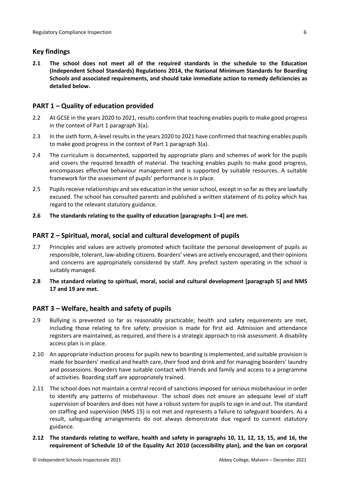## <span id="page-5-0"></span>**Key findings**

**2.1 The school does not meet all of the required standards in the schedule to the Education (Independent School Standards) Regulations 2014, the National Minimum Standards for Boarding Schools and associated requirements, and should take immediate action to remedy deficiencies as detailed below.**

# <span id="page-5-1"></span>**PART 1 – Quality of education provided**

- 2.2 At GCSE in the years 2020 to 2021, results confirm that teaching enables pupils to make good progress in the context of Part 1 paragraph 3(a).
- 2.3 In the sixth form, A-level resultsin the years 2020 to 2021 have confirmed that teaching enables pupils to make good progress in the context of Part 1 paragraph 3(a).
- 2.4 The curriculum is documented, supported by appropriate plans and schemes of work for the pupils and covers the required breadth of material. The teaching enables pupils to make good progress, encompasses effective behaviour management and is supported by suitable resources. A suitable framework for the assessment of pupils' performance is in place.
- 2.5 Pupils receive relationships and sex education in the senior school, except in so far as they are lawfully excused. The school has consulted parents and published a written statement of its policy which has regard to the relevant statutory guidance.
- **2.6 The standards relating to the quality of education [paragraphs 1–4] are met.**

### <span id="page-5-2"></span>**PART 2 – Spiritual, moral, social and cultural development of pupils**

- 2.7 Principles and values are actively promoted which facilitate the personal development of pupils as responsible, tolerant, law-abiding citizens. Boarders' views are actively encouraged, and their opinions and concerns are appropriately considered by staff. Any prefect system operating in the school is suitably managed.
- **2.8 The standard relating to spiritual, moral, social and cultural development [paragraph 5] and NMS 17 and 19 are met.**

### <span id="page-5-3"></span>**PART 3 – Welfare, health and safety of pupils**

- 2.9 Bullying is prevented so far as reasonably practicable; health and safety requirements are met, including those relating to fire safety; provision is made for first aid. Admission and attendance registers are maintained, as required, and there is a strategic approach to risk assessment. A disability access plan is in place.
- 2.10 An appropriate induction process for pupils new to boarding is implemented, and suitable provision is made for boarders' medical and health care, their food and drink and for managing boarders' laundry and possessions. Boarders have suitable contact with friends and family and access to a programme of activities. Boarding staff are appropriately trained.
- 2.11 The school does not maintain a central record of sanctions imposed for serious misbehaviour in order to identify any patterns of misbehaviour. The school does not ensure an adequate level of staff supervision of boarders and does not have a robust system for pupils to sign in and out. The standard on staffing and supervision (NMS 15) is not met and represents a failure to safeguard boarders. As a result, safeguarding arrangements do not always demonstrate due regard to current statutory guidance.
- 2.12 The standards relating to welfare, health and safety in paragraphs 10, 11, 12, 13, 15, and 16, the **requirement of Schedule 10 of the Equality Act 2010 (accessibility plan), and the ban on corporal**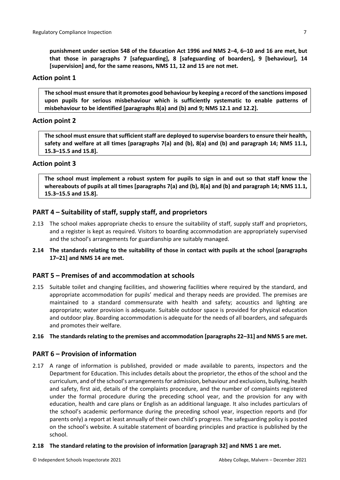**punishment under section 548 of the Education Act 1996 and NMS 2–4, 6–10 and 16 are met, but that those in paragraphs 7 [safeguarding], 8 [safeguarding of boarders], 9 [behaviour], 14 [supervision] and, for the same reasons, NMS 11, 12 and 15 are not met.**

### **Action point 1**

**The school must ensure that it promotes good behaviour by keeping a record of the sanctionsimposed upon pupils for serious misbehaviour which is sufficiently systematic to enable patterns of misbehaviour to be identified [paragraphs 8(a) and (b) and 9; NMS 12.1 and 12.2].**

### **Action point 2**

**The school must ensure thatsufficientstaff are deployed to supervise boardersto ensure their health, safety and welfare at all times [paragraphs 7(a) and (b), 8(a) and (b) and paragraph 14; NMS 11.1, 15.3–15.5 and 15.8].**

### **Action point 3**

The school must implement a robust system for pupils to sign in and out so that staff know the whereabouts of pupils at all times [paragraphs 7(a) and (b), 8(a) and (b) and paragraph 14; NMS 11.1, **15.3–15.5 and 15.8].**

# <span id="page-6-0"></span>**PART 4 – Suitability of staff, supply staff, and proprietors**

- 2.13 The school makes appropriate checks to ensure the suitability of staff, supply staff and proprietors, and a register is kept as required. Visitors to boarding accommodation are appropriately supervised and the school's arrangements for guardianship are suitably managed.
- **2.14 The standards relating to the suitability of those in contact with pupils at the school [paragraphs 17–21] and NMS 14 are met.**

### <span id="page-6-1"></span>**PART 5 – Premises of and accommodation at schools**

2.15 Suitable toilet and changing facilities, and showering facilities where required by the standard, and appropriate accommodation for pupils' medical and therapy needs are provided. The premises are maintained to a standard commensurate with health and safety; acoustics and lighting are appropriate; water provision is adequate. Suitable outdoor space is provided for physical education and outdoor play. Boarding accommodation is adequate for the needs of all boarders, and safeguards and promotes their welfare.

### **2.16 The standardsrelating to the premises and accommodation [paragraphs 22–31] and NMS 5 are met.**

### <span id="page-6-2"></span>**PART 6 – Provision of information**

2.17 A range of information is published, provided or made available to parents, inspectors and the Department for Education. This includes details about the proprietor, the ethos of the school and the curriculum, and of the school's arrangementsfor admission, behaviour and exclusions, bullying, health and safety, first aid, details of the complaints procedure, and the number of complaints registered under the formal procedure during the preceding school year, and the provision for any with education, health and care plans or English as an additional language. It also includes particulars of the school's academic performance during the preceding school year, inspection reports and (for parents only) a report at least annually of their own child's progress. The safeguarding policy is posted on the school's website. A suitable statement of boarding principles and practice is published by the school.

### **2.18 The standard relating to the provision of information [paragraph 32] and NMS 1 are met.**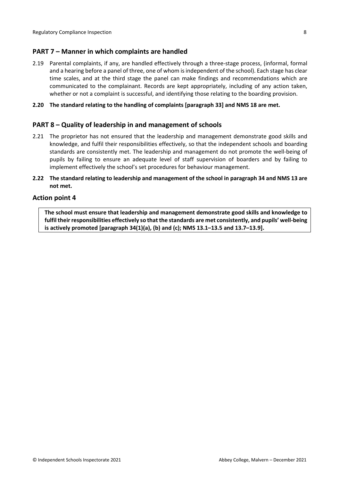### <span id="page-7-0"></span>**PART 7 – Manner in which complaints are handled**

2.19 Parental complaints, if any, are handled effectively through a three-stage process, (informal, formal and a hearing before a panel of three, one of whom is independent of the school). Each stage has clear time scales, and at the third stage the panel can make findings and recommendations which are communicated to the complainant. Records are kept appropriately, including of any action taken, whether or not a complaint is successful, and identifying those relating to the boarding provision.

### **2.20 The standard relating to the handling of complaints [paragraph 33] and NMS 18 are met.**

### <span id="page-7-1"></span>**PART 8 – Quality of leadership in and management of schools**

- 2.21 The proprietor has not ensured that the leadership and management demonstrate good skills and knowledge, and fulfil their responsibilities effectively, so that the independent schools and boarding standards are consistently met. The leadership and management do not promote the well-being of pupils by failing to ensure an adequate level of staff supervision of boarders and by failing to implement effectively the school's set procedures for behaviour management.
- 2.22 The standard relating to leadership and management of the school in paragraph 34 and NMS 13 are **not met.**

### **Action point 4**

**The school must ensure that leadership and management demonstrate good skills and knowledge to fulfil theirresponsibilities effectively so that the standards are met consistently, and pupils' well-being is actively promoted [paragraph 34(1)(a), (b) and (c); NMS 13.1–13.5 and 13.7–13.9].**